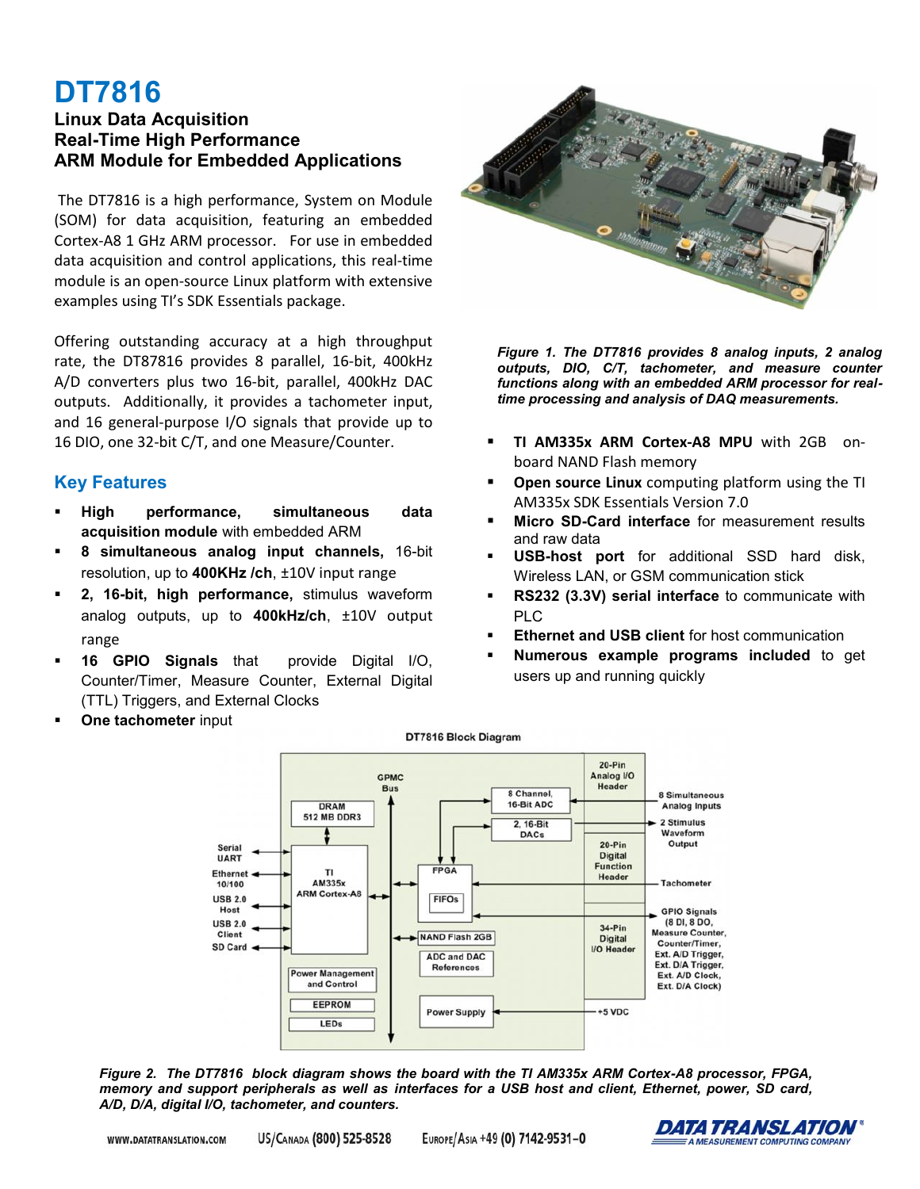# **DT7816**

# **Linux Data Acquisition Real-Time High Performance ARM Module for Embedded Applications**

The DT7816 is a high performance, System on Module (SOM) for data acquisition, featuring an embedded Cortex-A8 1 GHz ARM processor. For use in embedded data acquisition and control applications, this real-time module is an open-source Linux platform with extensive examples using TI's SDK Essentials package.

Offering outstanding accuracy at a high throughput rate, the DT87816 provides 8 parallel, 16-bit, 400kHz A/D converters plus two 16-bit, parallel, 400kHz DAC outputs. Additionally, it provides a tachometer input, and 16 general-purpose I/O signals that provide up to 16 DIO, one 32-bit C/T, and one Measure/Counter.

# **Key Features**

- **High performance, simultaneous data acquisition module** with embedded ARM
- **8 simultaneous analog input channels,** 16-bit resolution, up to **400KHz /ch**, ±10V input range
- **2, 16-bit, high performance,** stimulus waveform analog outputs, up to **400kHz/ch**, ±10V output range
- **16 GPIO Signals** that provide Digital I/O, Counter/Timer, Measure Counter, External Digital (TTL) Triggers, and External Clocks
- **One tachometer** input



*Figure 1. The DT7816 provides 8 analog inputs, 2 analog outputs, DIO, C/T, tachometer, and measure counter functions along with an embedded ARM processor for realtime processing and analysis of DAQ measurements.*

- **TI AM335x ARM Cortex-A8 MPU** with 2GB on board NAND Flash memory
- **Open source Linux** computing platform using the TI AM335x SDK Essentials Version 7.0
- **Micro SD-Card interface** for measurement results and raw data
- **USB-host port** for additional SSD hard disk, Wireless LAN, or GSM communication stick
- **RS232 (3.3V) serial interface** to communicate with PLC
- **Ethernet and USB client** for host communication
- **Numerous example programs included** to get users up and running quickly



*Figure 2. The DT7816 block diagram shows the board with the TI AM335x ARM Cortex-A8 processor, FPGA, memory and support peripherals as well as interfaces for a USB host and client, Ethernet, power, SD card, A/D, D/A, digital I/O, tachometer, and counters.*

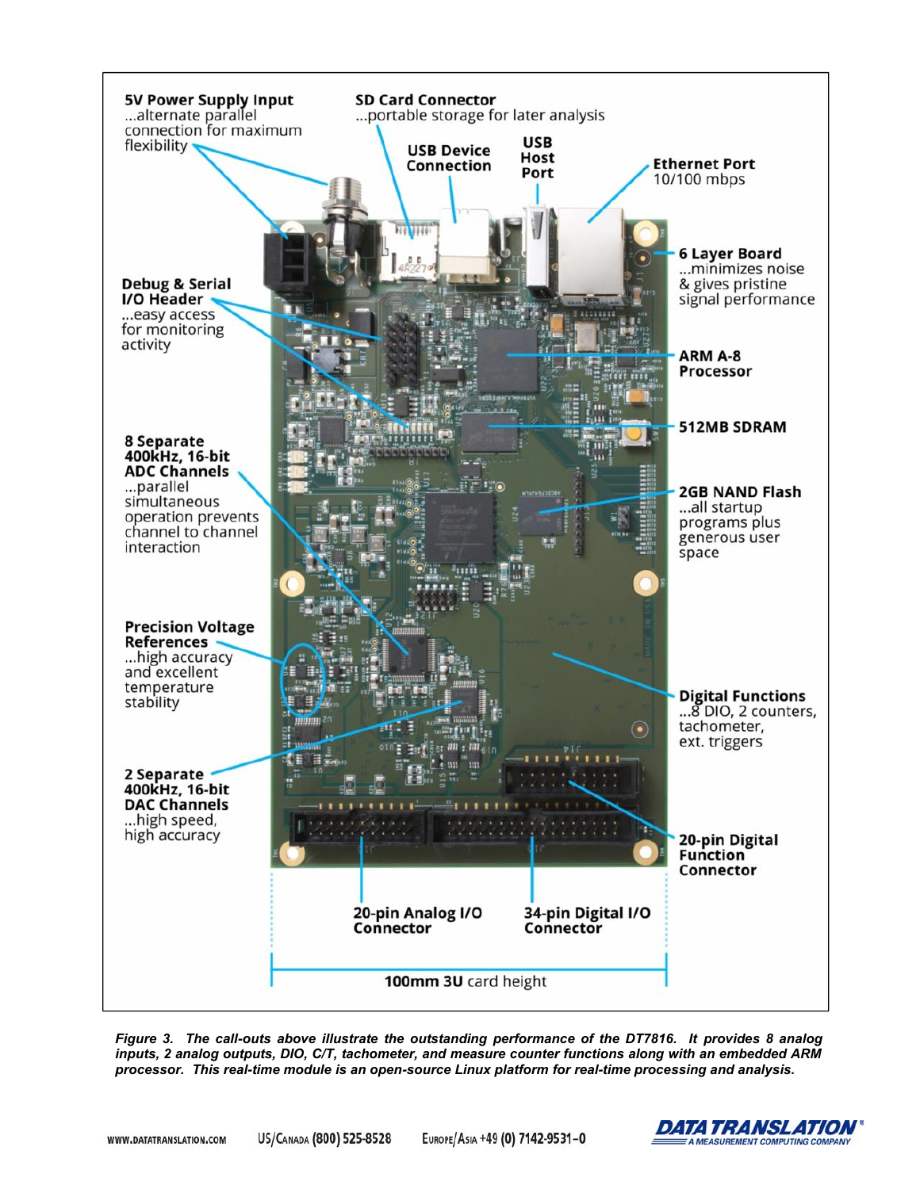

*Figure 3. The call-outs above illustrate the outstanding performance of the DT7816. It provides 8 analog inputs, 2 analog outputs, DIO, C/T, tachometer, and measure counter functions along with an embedded ARM processor. This real-time module is an open-source Linux platform for real-time processing and analysis.*

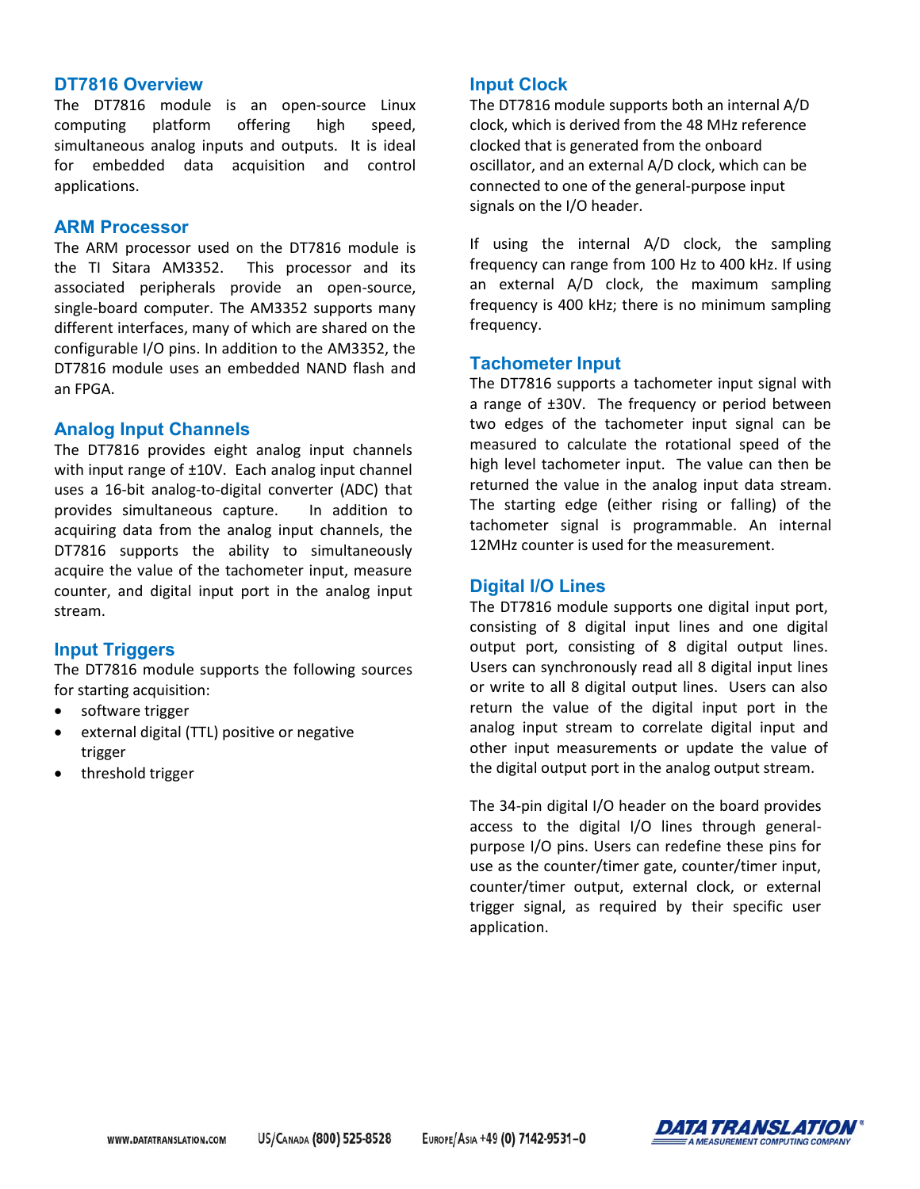# **DT7816 Overview**

The DT7816 module is an open-source Linux computing platform offering high speed, simultaneous analog inputs and outputs. It is ideal for embedded data acquisition and control applications.

## **ARM Processor**

The ARM processor used on the DT7816 module is the TI Sitara AM3352. This processor and its associated peripherals provide an open-source, single-board computer. The AM3352 supports many different interfaces, many of which are shared on the configurable I/O pins. In addition to the AM3352, the DT7816 module uses an embedded NAND flash and an FPGA.

## **Analog Input Channels**

The DT7816 provides eight analog input channels with input range of ±10V. Each analog input channel uses a 16-bit analog-to-digital converter (ADC) that provides simultaneous capture. In addition to acquiring data from the analog input channels, the DT7816 supports the ability to simultaneously acquire the value of the tachometer input, measure counter, and digital input port in the analog input stream.

## **Input Triggers**

The DT7816 module supports the following sources for starting acquisition:

- software trigger
- external digital (TTL) positive or negative trigger
- threshold trigger

#### **Input Clock**

The DT7816 module supports both an internal A/D clock, which is derived from the 48 MHz reference clocked that is generated from the onboard oscillator, and an external A/D clock, which can be connected to one of the general-purpose input signals on the I/O header.

If using the internal A/D clock, the sampling frequency can range from 100 Hz to 400 kHz. If using an external A/D clock, the maximum sampling frequency is 400 kHz; there is no minimum sampling frequency.

## **Tachometer Input**

The DT7816 supports a tachometer input signal with a range of ±30V. The frequency or period between two edges of the tachometer input signal can be measured to calculate the rotational speed of the high level tachometer input. The value can then be returned the value in the analog input data stream. The starting edge (either rising or falling) of the tachometer signal is programmable. An internal 12MHz counter is used for the measurement.

#### **Digital I/O Lines**

The DT7816 module supports one digital input port, consisting of 8 digital input lines and one digital output port, consisting of 8 digital output lines. Users can synchronously read all 8 digital input lines or write to all 8 digital output lines. Users can also return the value of the digital input port in the analog input stream to correlate digital input and other input measurements or update the value of the digital output port in the analog output stream.

The 34-pin digital I/O header on the board provides access to the digital I/O lines through general purpose I/O pins. Users can redefine these pins for use as the counter/timer gate, counter/timer input, counter/timer output, external clock, or external trigger signal, as required by their specific user application.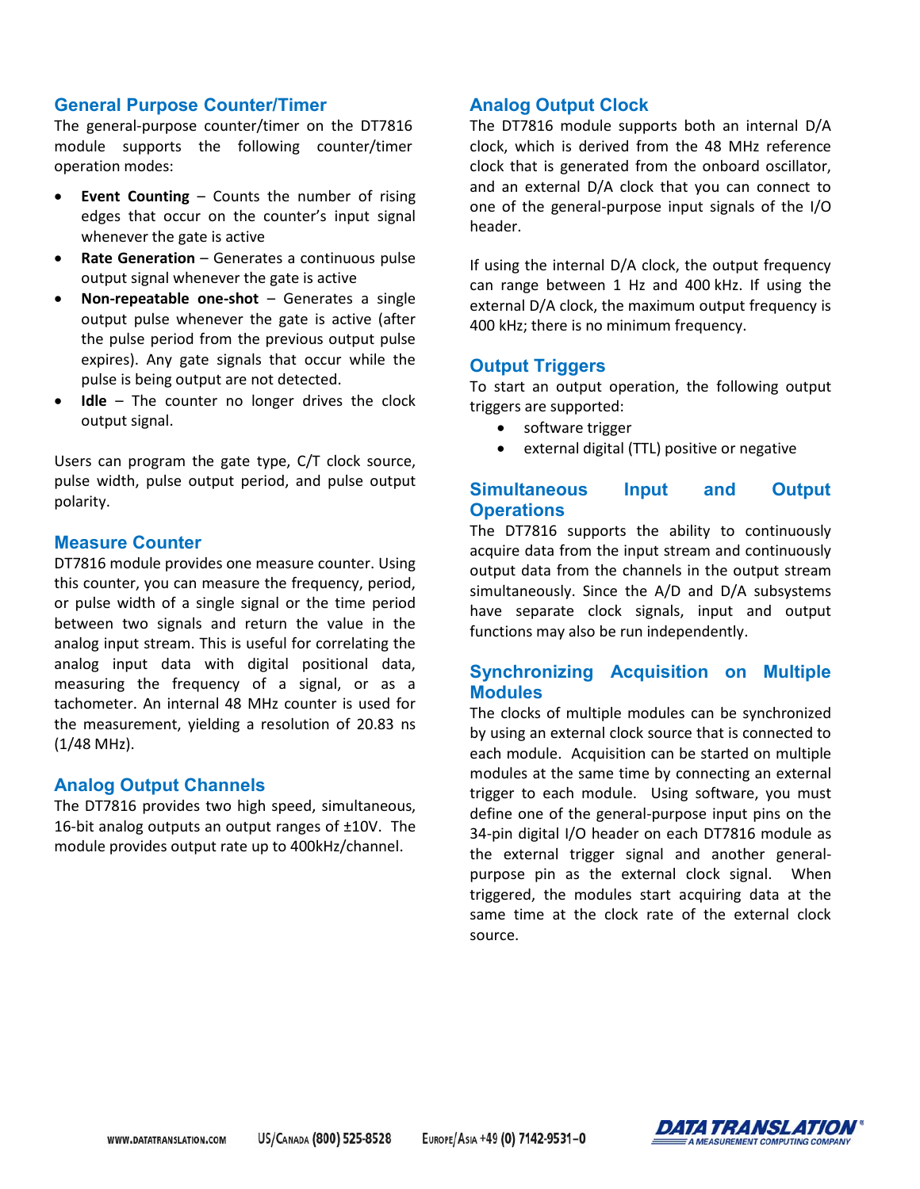# **General Purpose Counter/Timer**

The general-purpose counter/timer on the DT7816 module supports the following counter/timer operation modes:

- **Event Counting** Counts the number of rising edges that occur on the counter's input signal whenever the gate is active
- **Rate Generation** Generates a continuous pulse output signal whenever the gate is active
- **Non-repeatable one-shot** Generates a single output pulse whenever the gate is active (after the pulse period from the previous output pulse expires). Any gate signals that occur while the pulse is being output are not detected.
- **Idle** The counter no longer drives the clock output signal.

Users can program the gate type, C/T clock source, pulse width, pulse output period, and pulse output polarity.

#### **Measure Counter**

DT7816 module provides one measure counter. Using this counter, you can measure the frequency, period, or pulse width of a single signal or the time period between two signals and return the value in the analog input stream. This is useful for correlating the analog input data with digital positional data, measuring the frequency of a signal, or as a tachometer. An internal 48 MHz counter is used for the measurement, yielding a resolution of 20.83 ns (1/48 MHz).

## **Analog Output Channels**

The DT7816 provides two high speed, simultaneous, 16-bit analog outputs an output ranges of ±10V. The module provides output rate up to 400kHz/channel.

# **Analog Output Clock**

The DT7816 module supports both an internal D/A clock, which is derived from the 48 MHz reference clock that is generated from the onboard oscillator, and an external D/A clock that you can connect to one of the general-purpose input signals of the I/O header.

If using the internal D/A clock, the output frequency can range between 1 Hz and 400 kHz. If using the external D/A clock, the maximum output frequency is 400 kHz; there is no minimum frequency.

#### **Output Triggers**

To start an output operation, the following output triggers are supported:

- software trigger
- external digital (TTL) positive or negative

# **Simultaneous Input and Output Operations**

The DT7816 supports the ability to continuously acquire data from the input stream and continuously output data from the channels in the output stream simultaneously. Since the A/D and D/A subsystems have separate clock signals, input and output functions may also be run independently.

# **Synchronizing Acquisition on Multiple Modules**

The clocks of multiple modules can be synchronized by using an external clock source that is connected to each module. Acquisition can be started on multiple modules at the same time by connecting an external trigger to each module. Using software, you must define one of the general-purpose input pins on the 34-pin digital I/O header on each DT7816 module as the external trigger signal and another general purpose pin as the external clock signal. When triggered, the modules start acquiring data at the same time at the clock rate of the external clock source.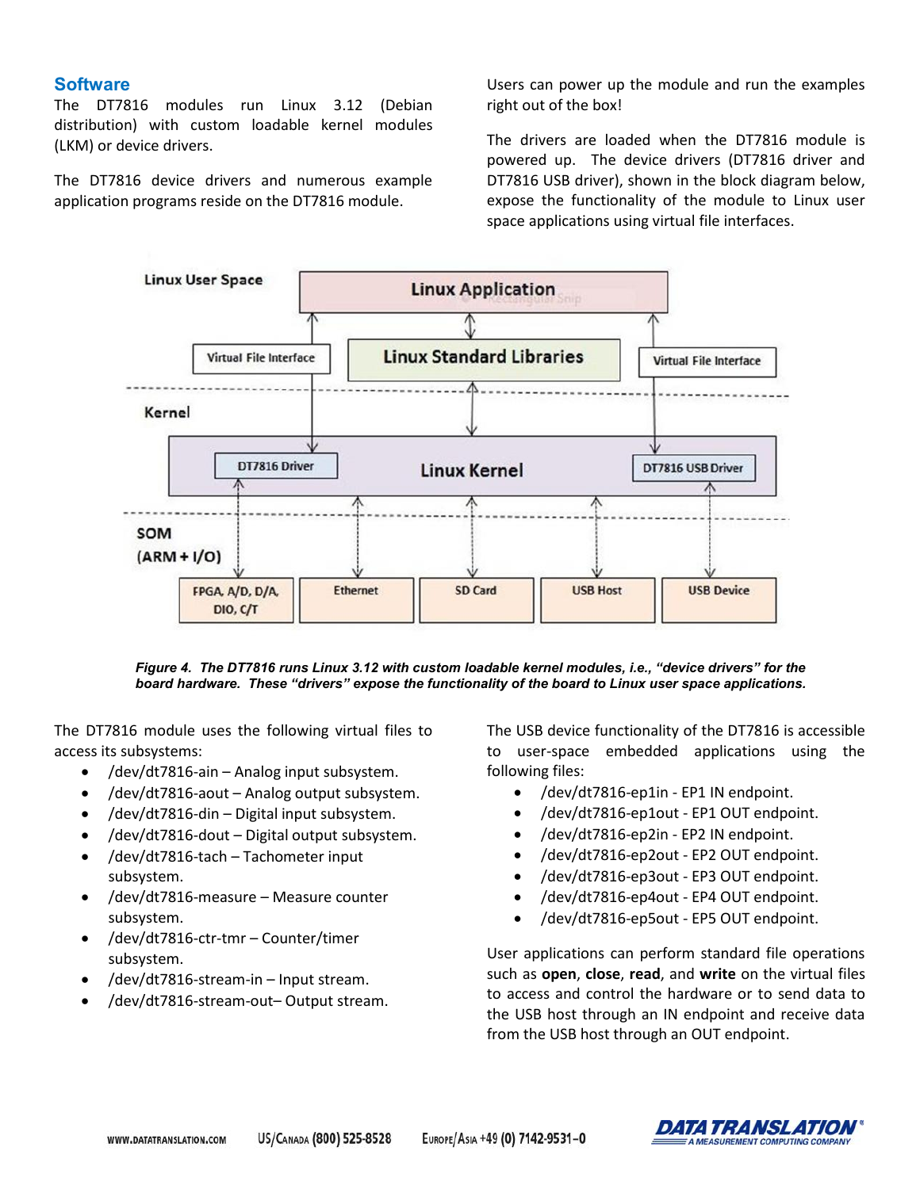# **Software**

The DT7816 modules run Linux 3.12 (Debian distribution) with custom loadable kernel modules (LKM) or device drivers.

The DT7816 device drivers and numerous example application programs reside on the DT7816 module.

Users can power up the module and run the examples right out of the box!

The drivers are loaded when the DT7816 module is powered up. The device drivers (DT7816 driver and DT7816 USB driver), shown in the block diagram below, expose the functionality of the module to Linux user space applications using virtual file interfaces.



*Figure 4. The DT7816 runs Linux 3.12 with custom loadable kernel modules, i.e., "device drivers" for the board hardware. These "drivers" expose the functionality of the board to Linux user space applications.*

The DT7816 module uses the following virtual files to access its subsystems:

- /dev/dt7816-ain Analog input subsystem.
- /dev/dt7816-aout Analog output subsystem.
- /dev/dt7816-din Digital input subsystem.
- /dev/dt7816-dout Digital output subsystem.
- /dev/dt7816-tach Tachometer input subsystem.
- /dev/dt7816-measure Measure counter subsystem.
- /dev/dt7816-ctr-tmr Counter/timer subsystem.
- /dev/dt7816-stream-in Input stream.
- /dev/dt7816-stream-out– Output stream.

The USB device functionality of the DT7816 is accessible to user-space embedded applications using the following files:

- /dev/dt7816-ep1in EP1 IN endpoint.
- /dev/dt7816-ep1out EP1 OUT endpoint.
- /dev/dt7816-ep2in EP2 IN endpoint.
- /dev/dt7816-ep2out EP2 OUT endpoint.
- /dev/dt7816-ep3out EP3 OUT endpoint.
- /dev/dt7816-ep4out EP4 OUT endpoint.
- /dev/dt7816-ep5out EP5 OUT endpoint.

User applications can perform standard file operations such as **open**, **close**, **read**, and **write** on the virtual files to access and control the hardware or to send data to the USB host through an IN endpoint and receive data from the USB host through an OUT endpoint.

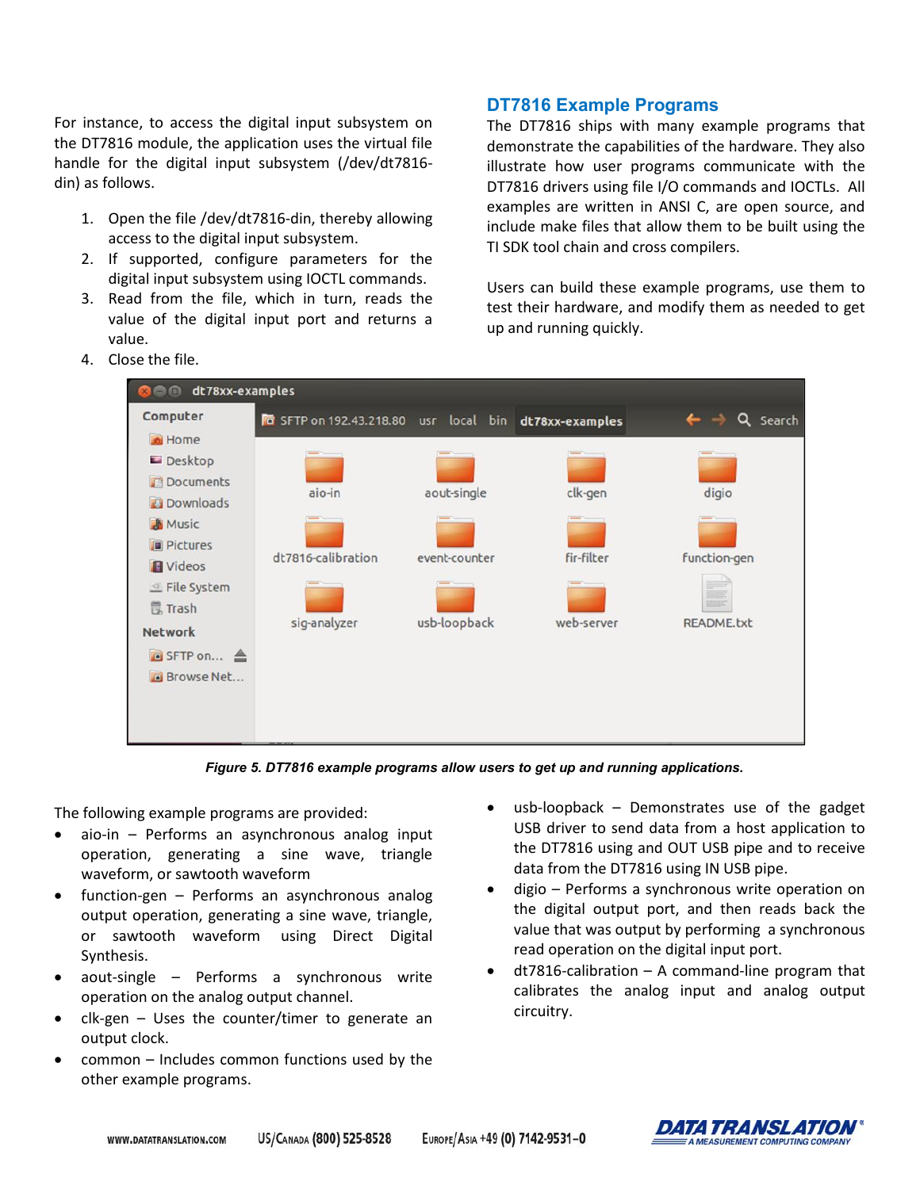For instance, to access the digital input subsystem on the DT7816 module, the application uses the virtual file handle for the digital input subsystem (/dev/dt7816 din) as follows.

- 1. Open the file /dev/dt7816-din, thereby allowing access to the digital input subsystem.
- 2. If supported, configure parameters for the digital input subsystem using IOCTL commands.
- 3. Read from the file, which in turn, reads the value of the digital input port and returns a value.

4. Close the file.

# **DT7816 Example Programs**

The DT7816 ships with many example programs that demonstrate the capabilities of the hardware. They also illustrate how user programs communicate with the DT7816 drivers using file I/O commands and IOCTLs. All examples are written in ANSI C, are open source, and include make files that allow them to be built using the TI SDK tool chain and cross compilers.

Users can build these example programs, use them to test their hardware, and modify them as needed to get up and running quickly.



*Figure 5. DT7816 example programs allow users to get up and running applications.*

The following example programs are provided:

- aio-in Performs an asynchronous analog input operation, generating a sine wave, triangle waveform, or sawtooth waveform
- function-gen Performs an asynchronous analog output operation, generating a sine wave, triangle, or sawtooth waveform using Direct Digital Synthesis.
- aout-single Performs a synchronous write operation on the analog output channel.
- clk-gen Uses the counter/timer to generate an output clock.
- common Includes common functions used by the other example programs.
- usb-loopback Demonstrates use of the gadget USB driver to send data from a host application to the DT7816 using and OUT USB pipe and to receive data from the DT7816 using IN USB pipe.
- digio Performs a synchronous write operation on the digital output port, and then reads back the value that was output by performing a synchronous read operation on the digital input port.
- dt7816-calibration A command-line program that calibrates the analog input and analog output circuitry.